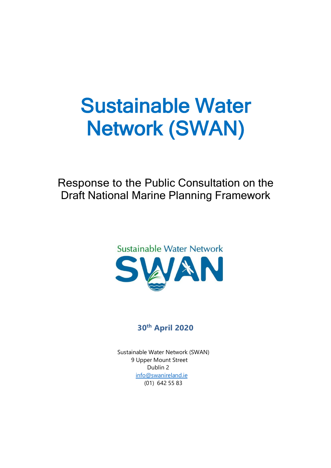# Sustainable Water Network (SWAN)

Response to the Public Consultation on the Draft National Marine Planning Framework



### **30th April 2020**

 Sustainable Water Network (SWAN) 9 Upper Mount Street Dublin 2 [info@swanireland.ie](mailto:info@swanireland.ie) (01) 642 55 83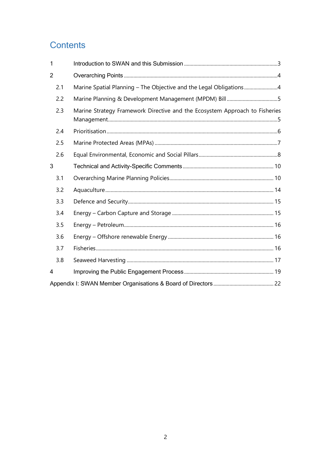## **Contents**

| 1              |                                                                             |  |
|----------------|-----------------------------------------------------------------------------|--|
| $\overline{2}$ |                                                                             |  |
| 2.1            | Marine Spatial Planning - The Objective and the Legal Obligations4          |  |
| 2.2            |                                                                             |  |
| 2.3            | Marine Strategy Framework Directive and the Ecosystem Approach to Fisheries |  |
| 2.4            |                                                                             |  |
| 2.5            |                                                                             |  |
| 2.6            |                                                                             |  |
| 3              |                                                                             |  |
| 3.1            |                                                                             |  |
| 3.2            |                                                                             |  |
| 3.3            |                                                                             |  |
| 3.4            |                                                                             |  |
| 3.5            |                                                                             |  |
| 3.6            |                                                                             |  |
| 3.7            |                                                                             |  |
| 3.8            |                                                                             |  |
| 4              |                                                                             |  |
|                |                                                                             |  |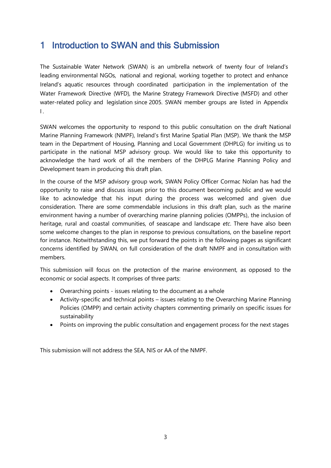## <span id="page-2-0"></span>1 Introduction to SWAN and this Submission

The Sustainable Water Network (SWAN) is an umbrella network of twenty four of Ireland's leading environmental NGOs, national and regional, working together to protect and enhance Ireland's aquatic resources through coordinated participation in the implementation of the Water Framework Directive (WFD), the Marine Strategy Framework Directive (MSFD) and other water-related policy and legislation since 2005. SWAN member groups are listed in Appendix  $\blacksquare$ 

SWAN welcomes the opportunity to respond to this public consultation on the draft National Marine Planning Framework (NMPF), Ireland's first Marine Spatial Plan (MSP). We thank the MSP team in the Department of Housing, Planning and Local Government (DHPLG) for inviting us to participate in the national MSP advisory group. We would like to take this opportunity to acknowledge the hard work of all the members of the DHPLG Marine Planning Policy and Development team in producing this draft plan.

In the course of the MSP advisory group work, SWAN Policy Officer Cormac Nolan has had the opportunity to raise and discuss issues prior to this document becoming public and we would like to acknowledge that his input during the process was welcomed and given due consideration. There are some commendable inclusions in this draft plan, such as the marine environment having a number of overarching marine planning policies (OMPPs), the inclusion of heritage, rural and coastal communities, of seascape and landscape *etc*. There have also been some welcome changes to the plan in response to previous consultations, on the baseline report for instance. Notwithstanding this, we put forward the points in the following pages as significant concerns identified by SWAN, on full consideration of the draft NMPF and in consultation with members.

This submission will focus on the protection of the marine environment, as opposed to the economic or social aspects. It comprises of three parts:

- Overarching points issues relating to the document as a whole
- Activity-specific and technical points issues relating to the Overarching Marine Planning Policies (OMPP) and certain activity chapters commenting primarily on specific issues for sustainability
- Points on improving the public consultation and engagement process for the next stages

This submission will not address the SEA, NIS or AA of the NMPF.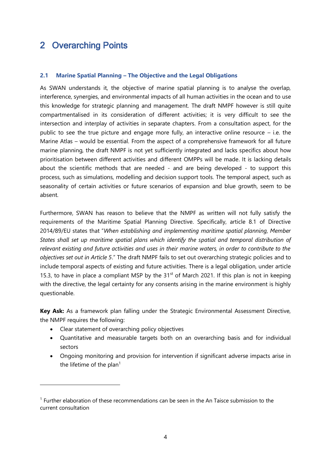## <span id="page-3-0"></span>2 Overarching Points

#### <span id="page-3-1"></span>**2.1 Marine Spatial Planning – The Objective and the Legal Obligations**

As SWAN understands it, the objective of marine spatial planning is to analyse the overlap, interference, synergies, and environmental impacts of all human activities in the ocean and to use this knowledge for strategic planning and management. The draft NMPF however is still quite compartmentalised in its consideration of different activities; it is very difficult to see the intersection and interplay of activities in separate chapters. From a consultation aspect, for the public to see the true picture and engage more fully, an interactive online resource – i.e. the Marine Atlas – would be essential. From the aspect of a comprehensive framework for all future marine planning, the draft NMPF is not yet sufficiently integrated and lacks specifics about how prioritisation between different activities and different OMPPs will be made. It is lacking details about the scientific methods that are needed - and are being developed - to support this process, such as simulations, modelling and decision support tools. The temporal aspect, such as seasonality of certain activities or future scenarios of expansion and blue growth, seem to be absent.

Furthermore, SWAN has reason to believe that the NMPF as written will not fully satisfy the requirements of the Maritime Spatial Planning Directive. Specifically, article 8.1 of Directive 2014/89/EU states that "*When establishing and implementing maritime spatial planning, Member States shall set up maritime spatial plans which identify the spatial and temporal distribution of relevant existing and future activities and uses in their marine waters, in order to contribute to the objectives set out in Article 5*." The draft NMPF fails to set out overarching strategic policies and to include temporal aspects of existing and future activities. There is a legal obligation, under article 15.3, to have in place a compliant MSP by the  $31<sup>st</sup>$  of March 2021. If this plan is not in keeping with the directive, the legal certainty for any consents arising in the marine environment is highly questionable.

**Key Ask:** As a framework plan falling under the Strategic Environmental Assessment Directive, the NMPF requires the following:

• Clear statement of overarching policy objectives

-

- Quantitative and measurable targets both on an overarching basis and for individual sectors
- Ongoing monitoring and provision for intervention if significant adverse impacts arise in the lifetime of the plan<sup>1</sup>

<sup>&</sup>lt;sup>1</sup> Further elaboration of these recommendations can be seen in the An Taisce submission to the current consultation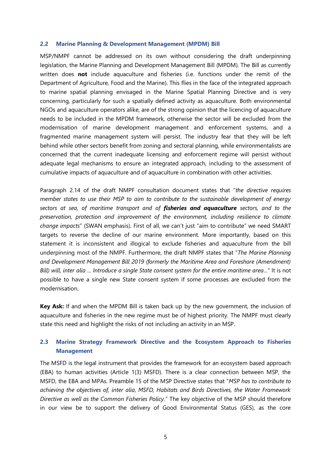#### <span id="page-4-0"></span>**2.2 Marine Planning & Development Management (MPDM) Bill**

MSP/NMPF cannot be addressed on its own without considering the draft underpinning legislation, the Marine Planning and Development Management Bill (MPDM). The Bill as currently written does **not** include aquaculture and fisheries (i.e. functions under the remit of the Department of Agriculture, Food and the Marine). This flies in the face of the integrated approach to marine spatial planning envisaged in the Marine Spatial Planning Directive and is very concerning, particularly for such a spatially defined activity as aquaculture. Both environmental NGOs and aquaculture operators alike, are of the strong opinion that the licencing of aquaculture needs to be included in the MPDM framework, otherwise the sector will be excluded from the modernisation of marine development management and enforcement systems, and a fragmented marine management system will persist. The industry fear that they will be left behind while other sectors benefit from zoning and sectoral planning, while environmentalists are concerned that the current inadequate licensing and enforcement regime will persist without adequate legal mechanisms to ensure an integrated approach, including to the assessment of cumulative impacts of aquaculture and of aquaculture in combination with other activities.

Paragraph 2.14 of the draft NMPF consultation document states that "*the directive requires member states to use their MSP to aim to contribute to the sustainable development of energy sectors at sea, of maritime transport and of fisheries and aquaculture sectors, and to the preservation, protection and improvement of the environment, including resilience to climate change impacts*" (SWAN emphasis). First of all, we can't just "aim to contribute" we need SMART targets to reverse the decline of our marine environment. More importantly, based on this statement it is inconsistent and illogical to exclude fisheries and aquaculture from the bill underpinning most of the NMPF. Furthermore, the draft NMPF states that "*The Marine Planning and Development Management Bill 2019 (formerly the Maritime Area and Foreshore (Amendment) Bill) will, inter alia ... Introduce a single State consent system for the entire maritime area...*" It is not possible to have a single new State consent system if some processes are excluded from the modernisation.

**Key Ask:** If and when the MPDM Bill is taken back up by the new government, the inclusion of aquaculture and fisheries in the new regime must be of highest priority. The NMPF must clearly state this need and highlight the risks of not including an activity in an MSP.

#### <span id="page-4-1"></span>**2.3 Marine Strategy Framework Directive and the Ecosystem Approach to Fisheries Management**

The MSFD is the legal instrument that provides the framework for an ecosystem based approach (EBA) to human activities (Article 1(3) MSFD). There is a clear connection between MSP, the MSFD, the EBA and MPAs. Preamble 15 of the MSP Directive states that "*MSP has to contribute to achieving the objectives of, inter alia, MSFD, Habitats and Birds Directives, the Water Framework Directive as well as the Common Fisheries Policy.*" The key objective of the MSP should therefore in our view be to support the delivery of Good Environmental Status (GES), as the core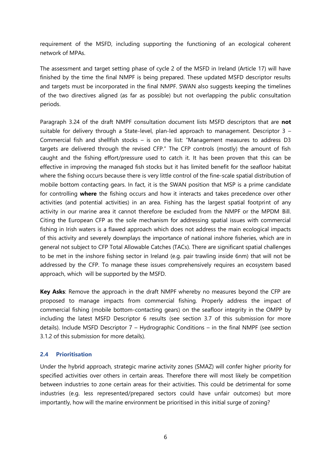requirement of the MSFD, including supporting the functioning of an ecological coherent network of MPAs.

The assessment and target setting phase of cycle 2 of the MSFD in Ireland (Article 17) will have finished by the time the final NMPF is being prepared. These updated MSFD descriptor results and targets must be incorporated in the final NMPF. SWAN also suggests keeping the timelines of the two directives aligned (as far as possible) but not overlapping the public consultation periods.

Paragraph 3.24 of the draft NMPF consultation document lists MSFD descriptors that are **not** suitable for delivery through a State-level, plan-led approach to management. Descriptor 3 – Commercial fish and shellfish stocks – is on the list: "Management measures to address D3 targets are delivered through the revised CFP." The CFP controls (mostly) the amount of fish caught and the fishing effort/pressure used to catch it. It has been proven that this can be effective in improving the managed fish stocks but it has limited benefit for the seafloor habitat where the fishing occurs because there is very little control of the fine-scale spatial distribution of mobile bottom contacting gears. In fact, it is the SWAN position that MSP is a prime candidate for controlling **where** the fishing occurs and how it interacts and takes precedence over other activities (and potential activities) in an area. Fishing has the largest spatial footprint of any activity in our marine area it cannot therefore be excluded from the NMPF or the MPDM Bill. Citing the European CFP as the sole mechanism for addressing spatial issues with commercial fishing in Irish waters is a flawed approach which does not address the main ecological impacts of this activity and severely downplays the importance of national inshore fisheries, which are in general not subject to CFP Total Allowable Catches (TACs). There are significant spatial challenges to be met in the inshore fishing sector in Ireland (e.g. pair trawling inside 6nm) that will not be addressed by the CFP. To manage these issues comprehensively requires an ecosystem based approach, which will be supported by the MSFD.

**Key Asks**: Remove the approach in the draft NMPF whereby no measures beyond the CFP are proposed to manage impacts from commercial fishing. Properly address the impact of commercial fishing (mobile bottom-contacting gears) on the seafloor integrity in the OMPP by including the latest MSFD Descriptor 6 results (see section [3.7](#page-15-2) of this submission for more details). Include MSFD Descriptor 7 – Hydrographic Conditions – in the final NMPF (see section [3.1.2](#page-9-2) of this submission for more details).

#### <span id="page-5-0"></span>**2.4 Prioritisation**

Under the hybrid approach, strategic marine activity zones (SMAZ) will confer higher priority for specified activities over others in certain areas. Therefore there will most likely be competition between industries to zone certain areas for their activities. This could be detrimental for some industries (e.g. less represented/prepared sectors could have unfair outcomes) but more importantly, how will the marine environment be prioritised in this initial surge of zoning?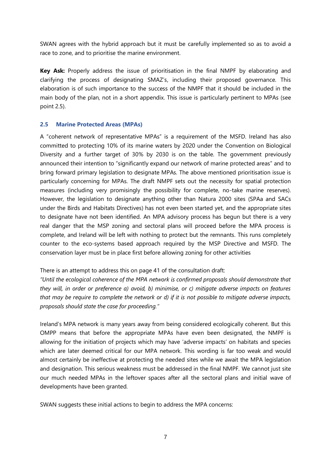SWAN agrees with the hybrid approach but it must be carefully implemented so as to avoid a race to zone, and to prioritise the marine environment.

**Key Ask:** Properly address the issue of prioritisation in the final NMPF by elaborating and clarifying the process of designating SMAZ's, including their proposed governance. This elaboration is of such importance to the success of the NMPF that it should be included in the main body of the plan, not in a short appendix. This issue is particularly pertinent to MPAs (see point [2.5\)](#page-6-0).

#### <span id="page-6-0"></span>**2.5 Marine Protected Areas (MPAs)**

A "coherent network of representative MPAs" is a requirement of the MSFD. Ireland has also committed to protecting 10% of its marine waters by 2020 under the Convention on Biological Diversity and a further target of 30% by 2030 is on the table. The government previously announced their intention to "significantly expand our network of marine protected areas" and to bring forward primary legislation to designate MPAs. The above mentioned prioritisation issue is particularly concerning for MPAs. The draft NMPF sets out the necessity for spatial protection measures (including very promisingly the possibility for complete, no-take marine reserves). However, the legislation to designate anything other than Natura 2000 sites (SPAa and SACs under the Birds and Habitats Directives) has not even been started yet, and the appropriate sites to designate have not been identified. An MPA advisory process has begun but there is a very real danger that the MSP zoning and sectoral plans will proceed before the MPA process is complete, and Ireland will be left with nothing to protect but the remnants. This runs completely counter to the eco-systems based approach required by the MSP Directive and MSFD. The conservation layer must be in place first before allowing zoning for other activities

There is an attempt to address this on page 41 of the consultation draft:

*"Until the ecological coherence of the MPA network is confirmed proposals should demonstrate that they will, in order or preference a) avoid, b) minimise, or c) mitigate adverse impacts on features that may be require to complete the network or d) if it is not possible to mitigate adverse impacts, proposals should state the case for proceeding."* 

Ireland's MPA network is many years away from being considered ecologically coherent. But this OMPP means that before the appropriate MPAs have even been designated, the NMPF is allowing for the initiation of projects which may have 'adverse impacts' on habitats and species which are later deemed critical for our MPA network. This wording is far too weak and would almost certainly be ineffective at protecting the needed sites while we await the MPA legislation and designation. This serious weakness must be addressed in the final NMPF. We cannot just site our much needed MPAs in the leftover spaces after all the sectoral plans and initial wave of developments have been granted.

SWAN suggests these initial actions to begin to address the MPA concerns: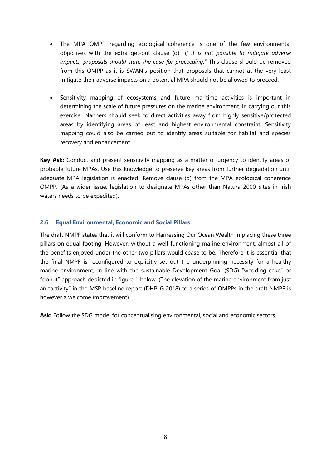- The MPA OMPP regarding ecological coherence is one of the few environmental objectives with the extra get-out clause (d) "*if it is not possible to mitigate adverse impacts, proposals should state the case for proceeding.*" This clause should be removed from this OMPP as it is SWAN's position that proposals that cannot at the very least mitigate their adverse impacts on a potential MPA should not be allowed to proceed.
- Sensitivity mapping of ecosystems and future maritime activities is important in determining the scale of future pressures on the marine environment. In carrying out this exercise, planners should seek to direct activities away from highly sensitive/protected areas by identifying areas of least and highest environmental constraint. Sensitivity mapping could also be carried out to identify areas suitable for habitat and species recovery and enhancement.

**Key Ask:** Conduct and present sensitivity mapping as a matter of urgency to identify areas of probable future MPAs. Use this knowledge to preserve key areas from further degradation until adequate MPA legislation is enacted. Remove clause (d) from the MPA ecological coherence OMPP. (As a wider issue, legislation to designate MPAs other than Natura 2000 sites in Irish waters needs to be expedited).

#### <span id="page-7-0"></span>**2.6 Equal Environmental, Economic and Social Pillars**

The draft NMPF states that it will conform to Harnessing Our Ocean Wealth in placing these three pillars on equal footing. However, without a well-functioning marine environment, almost all of the benefits enjoyed under the other two pillars would cease to be. Therefore it is essential that the final NMPF is reconfigured to explicitly set out the underpinning necessity for a healthy marine environment, in line with the sustainable Development Goal (SDG) "wedding cake" or "donut" approach depicted in figure 1 below. (The elevation of the marine environment from just an "activity" in the MSP baseline report (DHPLG 2018) to a series of OMPPs in the draft NMPF is however a welcome improvement).

**Ask:** Follow the SDG model for conceptualising environmental, social and economic sectors.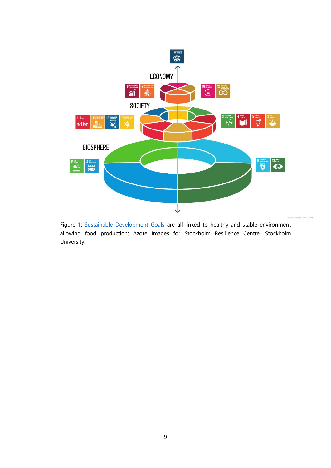

Figure 1: [Sustainable Development Goals](https://www.stockholmresilience.org/research/research-news/2016-06-14-how-food-connects-all-the-sdgs.html) are all linked to healthy and stable environment allowing food production; Azote Images for Stockholm Resilience Centre, Stockholm University.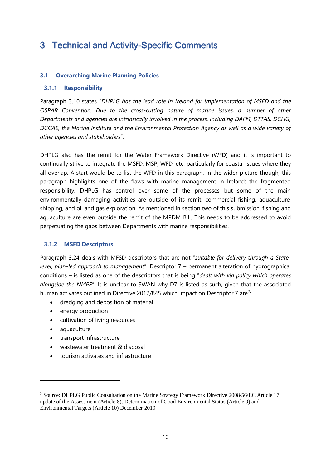## <span id="page-9-0"></span>3 Technical and Activity-Specific Comments

#### <span id="page-9-1"></span>**3.1 Overarching Marine Planning Policies**

#### **3.1.1 Responsibility**

Paragraph 3.10 states "*DHPLG has the lead role in Ireland for implementation of MSFD and the OSPAR Convention. Due to the cross-cutting nature of marine issues, a number of other Departments and agencies are intrinsically involved in the process, including DAFM, DTTAS, DCHG, DCCAE, the Marine Institute and the Environmental Protection Agency as well as a wide variety of other agencies and stakeholders*".

DHPLG also has the remit for the Water Framework Directive (WFD) and it is important to continually strive to integrate the MSFD, MSP, WFD, etc. particularly for coastal issues where they all overlap. A start would be to list the WFD in this paragraph. In the wider picture though, this paragraph highlights one of the flaws with marine management in Ireland: the fragmented responsibility. DHPLG has control over some of the processes but some of the main environmentally damaging activities are outside of its remit: commercial fishing, aquaculture, shipping, and oil and gas exploration. As mentioned in section two of this submission, fishing and aquaculture are even outside the remit of the MPDM Bill. This needs to be addressed to avoid perpetuating the gaps between Departments with marine responsibilities.

#### <span id="page-9-2"></span>**3.1.2 MSFD Descriptors**

Paragraph 3.24 deals with MFSD descriptors that are not "*suitable for delivery through a Statelevel, plan-led approach to management*". Descriptor 7 – permanent alteration of hydrographical conditions – is listed as one of the descriptors that is being "*dealt with via policy which operates alongside the NMPF*". It is unclear to SWAN why D7 is listed as such, given that the associated human activates outlined in Directive 2017/845 which impact on Descriptor 7 are<sup>2</sup>:

- dredging and deposition of material
- energy production
- cultivation of living resources
- aquaculture

-

- transport infrastructure
- wastewater treatment & disposal
- tourism activates and infrastructure

<sup>&</sup>lt;sup>2</sup> Source: DHPLG Public Consultation on the Marine Strategy Framework Directive 2008/56/EC Article 17 update of the Assessment (Article 8), Determination of Good Environmental Status (Article 9) and Environmental Targets (Article 10) December 2019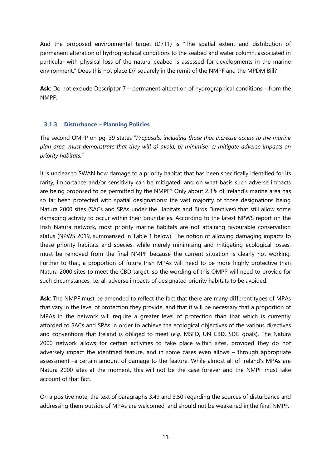And the proposed environmental target (D7T1) is "The spatial extent and distribution of permanent alteration of hydrographical conditions to the seabed and water column, associated in particular with physical loss of the natural seabed is assessed for developments in the marine environment." Does this not place D7 squarely in the remit of the NMPF and the MPDM Bill?

**Ask**: Do not exclude Descriptor 7 – permanent alteration of hydrographical conditions - from the NMPF.

#### **3.1.3 Disturbance – Planning Policies**

The second OMPP on pg. 39 states "*Proposals, including those that increase access to the marine plan area, must demonstrate that they will a) avoid, b) minimise, c) mitigate adverse impacts on priority habitats.*"

It is unclear to SWAN how damage to a priority habitat that has been specifically identified for its rarity, importance and/or sensitivity can be mitigated; and on what basis such adverse impacts are being proposed to be permitted by the NMPF? Only about 2.3% of Ireland's marine area has so far been protected with spatial designations; the vast majority of those designations being Natura 2000 sites (SACs and SPAs under the Habitats and Birds Directives) that still allow some damaging activity to occur within their boundaries. According to the latest NPWS report on the Irish Natura network, most priority marine habitats are not attaining favourable conservation status (NPWS 2019, summarised in Table 1 below). The notion of allowing damaging impacts to these priority habitats and species, while merely minimising and mitigating ecological losses, must be removed from the final NMPF because the current situation is clearly not working. Further to that, a proportion of future Irish MPAs will need to be more highly protective than Natura 2000 sites to meet the CBD target, so the wording of this OMPP will need to provide for such circumstances, i.e. all adverse impacts of designated priority habitats to be avoided.

**Ask**: The NMPF must be amended to reflect the fact that there are many different types of MPAs that vary in the level of protection they provide, and that it will be necessary that a proportion of MPAs in the network will require a greater level of protection than that which is currently afforded to SACs and SPAs in order to achieve the ecological objectives of the various directives and conventions that Ireland is obliged to meet (*e.g.* MSFD, UN CBD, SDG goals). The Natura 2000 network allows for certain activities to take place within sites, provided they do not adversely impact the identified feature, and in some cases even allows – through appropriate assessment –a certain amount of damage to the feature. While almost all of Ireland's MPAs are Natura 2000 sites at the moment, this will not be the case forever and the NMPF must take account of that fact.

On a positive note, the text of paragraphs 3.49 and 3.50 regarding the sources of disturbance and addressing them outside of MPAs are welcomed, and should not be weakened in the final NMPF.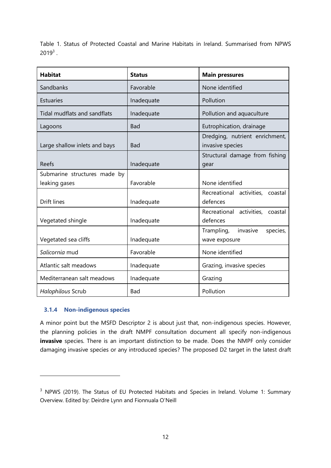Table 1. Status of Protected Coastal and Marine Habitats in Ireland. Summarised from NPWS  $2019^3$ .

| <b>Habitat</b>                | <b>Status</b> | <b>Main pressures</b>                              |  |
|-------------------------------|---------------|----------------------------------------------------|--|
| Sandbanks                     | Favorable     | None identified                                    |  |
| <b>Estuaries</b>              | Inadequate    | Pollution                                          |  |
| Tidal mudflats and sandflats  | Inadequate    | Pollution and aquaculture                          |  |
| Lagoons                       | Bad           | Eutrophication, drainage                           |  |
| Large shallow inlets and bays | <b>Bad</b>    | Dredging, nutrient enrichment,<br>invasive species |  |
| Reefs                         | Inadequate    | Structural damage from fishing<br>gear             |  |
| Submarine structures made by  |               |                                                    |  |
| leaking gases                 | Favorable     | None identified                                    |  |
|                               |               | Recreational activities, coastal                   |  |
| <b>Drift lines</b>            | Inadequate    | defences                                           |  |
|                               |               | Recreational activities, coastal                   |  |
| Vegetated shingle             | Inadequate    | defences                                           |  |
|                               |               | invasive<br>Trampling,<br>species,                 |  |
| Vegetated sea cliffs          | Inadequate    | wave exposure                                      |  |
| Salicornia mud                | Favorable     | None identified                                    |  |
| Atlantic salt meadows         | Inadequate    | Grazing, invasive species                          |  |
| Mediterranean salt meadows    | Inadequate    | Grazing                                            |  |
| Halophilous Scrub             | Bad           | Pollution                                          |  |

#### **3.1.4 Non-indigenous species**

-

A minor point but the MSFD Descriptor 2 is about just that, non-indigenous species. However, the planning policies in the draft NMPF consultation document all specify non-indigenous **invasive** species. There is an important distinction to be made. Does the NMPF only consider damaging invasive species or any introduced species? The proposed D2 target in the latest draft

<sup>&</sup>lt;sup>3</sup> NPWS (2019). The Status of EU Protected Habitats and Species in Ireland. Volume 1: Summary Overview. Edited by: Deirdre Lynn and Fionnuala O'Neill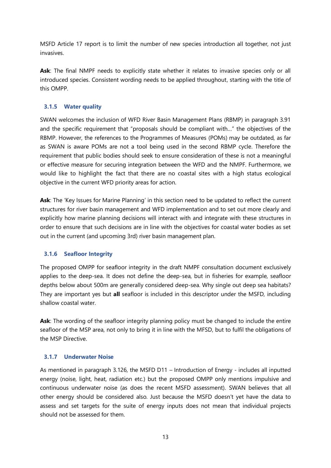MSFD Article 17 report is to limit the number of new species introduction all together, not just invasives.

Ask: The final NMPF needs to explicitly state whether it relates to invasive species only or all introduced species. Consistent wording needs to be applied throughout, starting with the title of this OMPP.

#### **3.1.5 Water quality**

SWAN welcomes the inclusion of WFD River Basin Management Plans (RBMP) in paragraph 3.91 and the specific requirement that "proposals should be compliant with…" the objectives of the RBMP. However, the references to the Programmes of Measures (POMs) may be outdated, as far as SWAN is aware POMs are not a tool being used in the second RBMP cycle. Therefore the requirement that public bodies should seek to ensure consideration of these is not a meaningful or effective measure for securing integration between the WFD and the NMPF. Furthermore, we would like to highlight the fact that there are no coastal sites with a high status ecological objective in the current WFD priority areas for action.

**Ask**: The 'Key Issues for Marine Planning' in this section need to be updated to reflect the current structures for river basin management and WFD implementation and to set out more clearly and explicitly how marine planning decisions will interact with and integrate with these structures in order to ensure that such decisions are in line with the objectives for coastal water bodies as set out in the current (and upcoming 3rd) river basin management plan.

#### **3.1.6 Seafloor Integrity**

The proposed OMPP for seafloor integrity in the draft NMPF consultation document exclusively applies to the deep-sea. It does not define the deep-sea, but in fisheries for example, seafloor depths below about 500m are generally considered deep-sea. Why single out deep sea habitats? They are important yes but **all** seafloor is included in this descriptor under the MSFD, including shallow coastal water.

**Ask**: The wording of the seafloor integrity planning policy must be changed to include the entire seafloor of the MSP area, not only to bring it in line with the MFSD, but to fulfil the obligations of the MSP Directive.

#### **3.1.7 Underwater Noise**

As mentioned in paragraph 3.126, the MSFD D11 – Introduction of Energy - includes all inputted energy (noise, light, heat, radiation etc.) but the proposed OMPP only mentions impulsive and continuous underwater noise (as does the recent MSFD assessment). SWAN believes that all other energy should be considered also. Just because the MSFD doesn't yet have the data to assess and set targets for the suite of energy inputs does not mean that individual projects should not be assessed for them.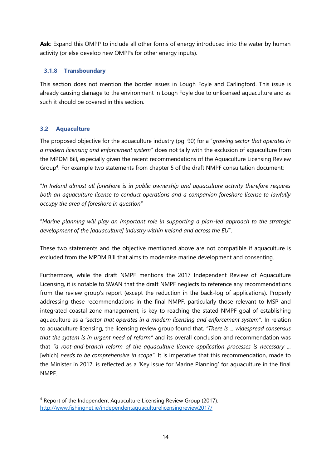**Ask**: Expand this OMPP to include all other forms of energy introduced into the water by human activity (or else develop new OMPPs for other energy inputs).

#### **3.1.8 Transboundary**

This section does not mention the border issues in Lough Foyle and Carlingford. This issue is already causing damage to the environment in Lough Foyle due to unlicensed aquaculture and as such it should be covered in this section.

#### <span id="page-13-0"></span>**3.2 Aquaculture**

-

The proposed objective for the aquaculture industry (pg. 90) for a "*growing sector that operates in a modern licensing and enforcement system*" does not tally with the exclusion of aquaculture from the MPDM Bill, especially given the recent recommendations of the Aquaculture Licensing Review Group<sup>4</sup>. For example two statements from chapter 5 of the draft NMPF consultation document:

"*In Ireland almost all foreshore is in public ownership and aquaculture activity therefore requires both an aquaculture license to conduct operations and a companion foreshore license to lawfully occupy the area of foreshore in question*"

"*Marine planning will play an important role in supporting a plan-led approach to the strategic development of the [aquaculture] industry within Ireland and across the EU*".

These two statements and the objective mentioned above are not compatible if aquaculture is excluded from the MPDM Bill that aims to modernise marine development and consenting.

Furthermore, while the draft NMPF mentions the 2017 Independent Review of Aquaculture Licensing, it is notable to SWAN that the draft NMPF neglects to reference any recommendations from the review group's report (except the reduction in the back-log of applications). Properly addressing these recommendations in the final NMPF, particularly those relevant to MSP and integrated coastal zone management, is key to reaching the stated NMPF goal of establishing aquaculture as a *"sector that operates in a modern licensing and enforcement system"*. In relation to aquaculture licensing, the licensing review group found that*, "There is ... widespread consensus that the system is in urgent need of reform"* and its overall conclusion and recommendation was that *"a root-and-branch reform of the aquaculture licence application processes is necessary ...* [which] *needs to be comprehensive in scope"*. It is imperative that this recommendation, made to the Minister in 2017, is reflected as a 'Key Issue for Marine Planning' for aquaculture in the final NMPF.

<sup>4</sup> Report of the Independent Aquaculture Licensing Review Group (2017). <http://www.fishingnet.ie/independentaquaculturelicensingreview2017/>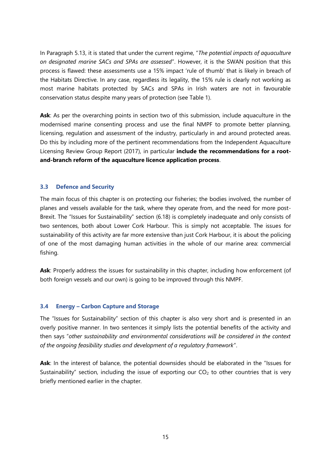In Paragraph 5.13, it is stated that under the current regime, "*The potential impacts of aquaculture on designated marine SACs and SPAs are assessed*". However, it is the SWAN position that this process is flawed: these assessments use a 15% impact 'rule of thumb' that is likely in breach of the Habitats Directive. In any case, regardless its legality, the 15% rule is clearly not working as most marine habitats protected by SACs and SPAs in Irish waters are not in favourable conservation status despite many years of protection (see Table 1).

Ask: As per the overarching points in section two of this submission, include aquaculture in the modernised marine consenting process and use the final NMPF to promote better planning, licensing, regulation and assessment of the industry, particularly in and around protected areas. Do this by including more of the pertinent recommendations from the Independent Aquaculture Licensing Review Group Report (2017), in particular **include the recommendations for a rootand-branch reform of the aquaculture licence application process**.

#### <span id="page-14-0"></span>**3.3 Defence and Security**

The main focus of this chapter is on protecting our fisheries; the bodies involved, the number of planes and vessels available for the task, where they operate from, and the need for more post-Brexit. The "Issues for Sustainability" section (6.18) is completely inadequate and only consists of two sentences, both about Lower Cork Harbour. This is simply not acceptable. The issues for sustainability of this activity are far more extensive than just Cork Harbour, it is about the policing of one of the most damaging human activities in the whole of our marine area: commercial fishing.

Ask: Properly address the issues for sustainability in this chapter, including how enforcement (of both foreign vessels and our own) is going to be improved through this NMPF.

#### <span id="page-14-1"></span>**3.4 Energy – Carbon Capture and Storage**

The "Issues for Sustainability" section of this chapter is also very short and is presented in an overly positive manner. In two sentences it simply lists the potential benefits of the activity and then says "*other sustainability and environmental considerations will be considered in the context of the ongoing feasibility studies and development of a regulatory framework*".

**Ask**: In the interest of balance, the potential downsides should be elaborated in the "Issues for Sustainability" section, including the issue of exporting our  $CO<sub>2</sub>$  to other countries that is very briefly mentioned earlier in the chapter.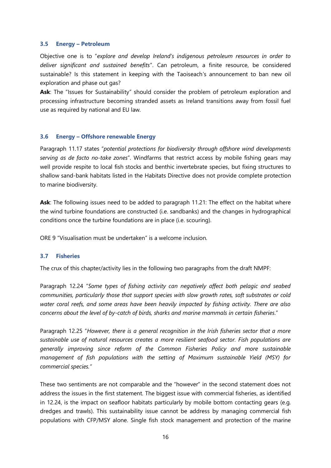#### <span id="page-15-0"></span>**3.5 Energy – Petroleum**

Objective one is to "*explore and develop Ireland's indigenous petroleum resources in order to deliver significant and sustained benefits*". Can petroleum, a finite resource, be considered sustainable? Is this statement in keeping with the Taoiseach's announcement to ban new oil exploration and phase out gas?

Ask: The "Issues for Sustainability" should consider the problem of petroleum exploration and processing infrastructure becoming stranded assets as Ireland transitions away from fossil fuel use as required by national and EU law.

#### <span id="page-15-1"></span>**3.6 Energy – Offshore renewable Energy**

Paragraph 11.17 states "*potential protections for biodiversity through offshore wind developments serving as de facto no-take zones*". Windfarms that restrict access by mobile fishing gears may well provide respite to local fish stocks and benthic invertebrate species, but fixing structures to shallow sand-bank habitats listed in the Habitats Directive does not provide complete protection to marine biodiversity.

**Ask**: The following issues need to be added to paragraph 11.21: The effect on the habitat where the wind turbine foundations are constructed (i.e. sandbanks) and the changes in hydrographical conditions once the turbine foundations are in place (i.e. scouring).

ORE 9 "Visualisation must be undertaken" is a welcome inclusion.

#### <span id="page-15-2"></span>**3.7 Fisheries**

The crux of this chapter/activity lies in the following two paragraphs from the draft NMPF:

Paragraph 12.24 "*Some types of fishing activity can negatively affect both pelagic and seabed communities, particularly those that support species with slow growth rates, soft substrates or cold water coral reefs, and some areas have been heavily impacted by fishing activity. There are also concerns about the level of by-catch of birds, sharks and marine mammals in certain fisheries*."

Paragraph 12.25 "*However, there is a general recognition in the Irish fisheries sector that a more sustainable use of natural resources creates a more resilient seafood sector. Fish populations are generally improving since reform of the Common Fisheries Policy and more sustainable management of fish populations with the setting of Maximum sustainable Yield (MSY) for commercial species."*

These two sentiments are not comparable and the "however" in the second statement does not address the issues in the first statement. The biggest issue with commercial fisheries, as identified in 12.24, is the impact on seafloor habitats particularly by mobile bottom contacting gears (e.g. dredges and trawls). This sustainability issue cannot be address by managing commercial fish populations with CFP/MSY alone. Single fish stock management and protection of the marine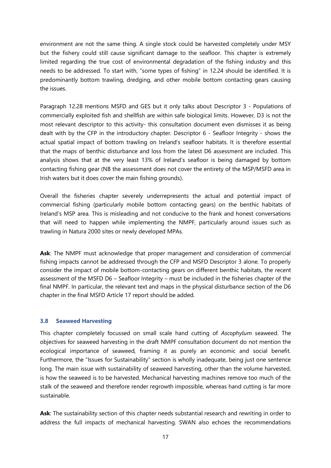environment are not the same thing. A single stock could be harvested completely under MSY but the fishery could still cause significant damage to the seafloor. This chapter is extremely limited regarding the true cost of environmental degradation of the fishing industry and this needs to be addressed. To start with, "some types of fishing" in 12.24 should be identified. It is predominantly bottom trawling, dredging, and other mobile bottom contacting gears causing the issues.

Paragraph 12.28 mentions MSFD and GES but it only talks about Descriptor 3 - Populations of commercially exploited fish and shellfish are within safe biological limits. However, D3 is not the most relevant descriptor to this activity- this consultation document even dismisses it as being dealt with by the CFP in the introductory chapter. Descriptor 6 - Seafloor Integrity - shows the actual spatial impact of bottom trawling on Ireland's seafloor habitats. It is therefore essential that the maps of benthic disturbance and loss from the latest D6 assessment are included. This analysis shows that at the very least 13% of Ireland's seafloor is being damaged by bottom contacting fishing gear (NB the assessment does not cover the entirety of the MSP/MSFD area in Irish waters but it does cover the main fishing grounds).

Overall the fisheries chapter severely underrepresents the actual and potential impact of commercial fishing (particularly mobile bottom contacting gears) on the benthic habitats of Ireland's MSP area. This is misleading and not conducive to the frank and honest conversations that will need to happen while implementing the NMPF, particularly around issues such as trawling in Natura 2000 sites or newly developed MPAs.

**Ask**: The NMPF must acknowledge that proper management and consideration of commercial fishing impacts cannot be addressed through the CFP and MSFD Descriptor 3 alone. To properly consider the impact of mobile bottom-contacting gears on different benthic habitats, the recent assessment of the MSFD D6 – Seafloor Integrity – must be included in the fisheries chapter of the final NMPF. In particular, the relevant text and maps in the physical disturbance section of the D6 chapter in the final MSFD Article 17 report should be added.

#### <span id="page-16-0"></span>**3.8 Seaweed Harvesting**

This chapter completely focussed on small scale hand cutting of *Ascophylum* seaweed. The objectives for seaweed harvesting in the draft NMPF consultation document do not mention the ecological importance of seaweed, framing it as purely an economic and social benefit. Furthermore, the "Issues for Sustainability" section is wholly inadequate, being just one sentence long. The main issue with sustainability of seaweed harvesting, other than the volume harvested, is how the seaweed is to be harvested. Mechanical harvesting machines remove too much of the stalk of the seaweed and therefore render regrowth impossible, whereas hand cutting is far more sustainable.

**Ask**: The sustainability section of this chapter needs substantial research and rewriting in order to address the full impacts of mechanical harvesting. SWAN also echoes the recommendations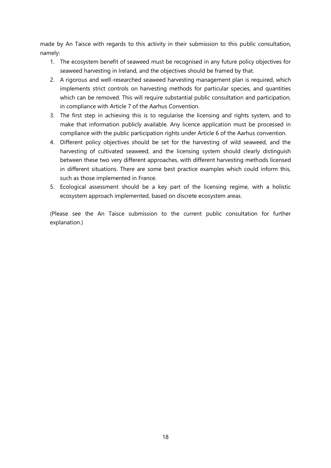made by An Taisce with regards to this activity in their submission to this public consultation, namely:

- 1. The ecosystem benefit of seaweed must be recognised in any future policy objectives for seaweed harvesting in Ireland, and the objectives should be framed by that.
- 2. A rigorous and well-researched seaweed harvesting management plan is required, which implements strict controls on harvesting methods for particular species, and quantities which can be removed. This will require substantial public consultation and participation, in compliance with Article 7 of the Aarhus Convention.
- 3. The first step in achieving this is to regularise the licensing and rights system, and to make that information publicly available. Any licence application must be processed in compliance with the public participation rights under Article 6 of the Aarhus convention.
- 4. Different policy objectives should be set for the harvesting of wild seaweed, and the harvesting of cultivated seaweed, and the licensing system should clearly distinguish between these two very different approaches, with different harvesting methods licensed in different situations. There are some best practice examples which could inform this, such as those implemented in France.
- 5. Ecological assessment should be a key part of the licensing regime, with a holistic ecosystem approach implemented, based on discrete ecosystem areas.

(Please see the An Taisce submission to the current public consultation for further explanation.)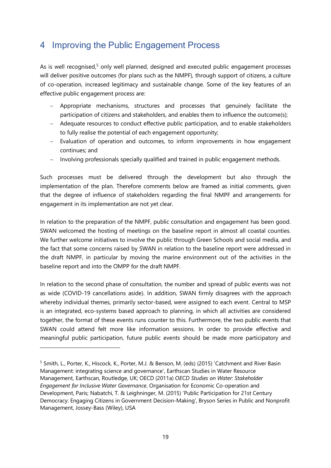## <span id="page-18-0"></span>4 Improving the Public Engagement Process

As is well recognised,<sup>5</sup> only well planned, designed and executed public engagement processes will deliver positive outcomes (for plans such as the NMPF), through support of citizens, a culture of co-operation, increased legitimacy and sustainable change. Some of the key features of an effective public engagement process are:

- Appropriate mechanisms, structures and processes that genuinely facilitate the participation of citizens and stakeholders, and enables them to influence the outcome(s);
- Adequate resources to conduct effective public participation, and to enable stakeholders to fully realise the potential of each engagement opportunity;
- Evaluation of operation and outcomes, to inform improvements in how engagement continues; and
- Involving professionals specially qualified and trained in public engagement methods.

Such processes must be delivered through the development but also through the implementation of the plan. Therefore comments below are framed as initial comments, given that the degree of influence of stakeholders regarding the final NMPF and arrangements for engagement in its implementation are not yet clear.

In relation to the preparation of the NMPF, public consultation and engagement has been good. SWAN welcomed the hosting of meetings on the baseline report in almost all coastal counties. We further welcome initiatives to involve the public through Green Schools and social media, and the fact that some concerns raised by SWAN in relation to the baseline report were addressed in the draft NMPF, in particular by moving the marine environment out of the activities in the baseline report and into the OMPP for the draft NMPF.

In relation to the second phase of consultation, the number and spread of public events was not as wide (COVID-19 cancellations aside). In addition, SWAN firmly disagrees with the approach whereby individual themes, primarily sector-based, were assigned to each event. Central to MSP is an integrated, eco-systems based approach to planning, in which all activities are considered together, the format of these events runs counter to this. Furthermore, the two public events that SWAN could attend felt more like information sessions. In order to provide effective and meaningful public participation, future public events should be made more participatory and

 $\overline{a}$ 

<sup>&</sup>lt;sup>5</sup> Smith, L., Porter, K., Hiscock, K., Porter, M.J. & Benson, M. (eds) (2015) 'Catchment and River Basin Management: integrating science and governance', Earthscan Studies in Water Resource Management, Earthscan, Routledge, UK; OECD (2011a) *OECD Studies on Water: Stakeholder Engagement for Inclusive Water Governance*, Organisation for Economic Co-operation and Development, Paris; Nabatchi, T. & Leighninger, M. (2015) 'Public Participation for 21st Century Democracy: Engaging Citizens in Government Decision-Making', Bryson Series in Public and Nonprofit Management, Jossey-Bass (Wiley), USA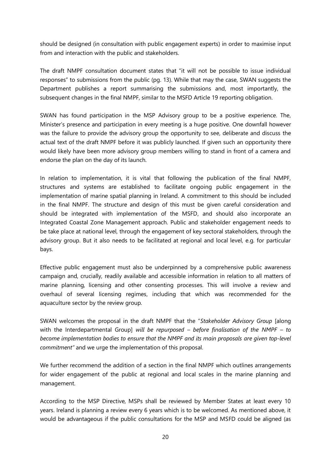should be designed (in consultation with public engagement experts) in order to maximise input from and interaction with the public and stakeholders.

The draft NMPF consultation document states that "it will not be possible to issue individual responses" to submissions from the public (pg. 13). While that may the case, SWAN suggests the Department publishes a report summarising the submissions and, most importantly, the subsequent changes in the final NMPF, similar to the MSFD Article 19 reporting obligation.

SWAN has found participation in the MSP Advisory group to be a positive experience. The, Minister's presence and participation in every meeting is a huge positive. One downfall however was the failure to provide the advisory group the opportunity to see, deliberate and discuss the actual text of the draft NMPF before it was publicly launched. If given such an opportunity there would likely have been more advisory group members willing to stand in front of a camera and endorse the plan on the day of its launch.

In relation to implementation, it is vital that following the publication of the final NMPF, structures and systems are established to facilitate ongoing public engagement in the implementation of marine spatial planning in Ireland. A commitment to this should be included in the final NMPF. The structure and design of this must be given careful consideration and should be integrated with implementation of the MSFD, and should also incorporate an Integrated Coastal Zone Management approach. Public and stakeholder engagement needs to be take place at national level, through the engagement of key sectoral stakeholders, through the advisory group. But it also needs to be facilitated at regional and local level, e.g. for particular bays.

Effective public engagement must also be underpinned by a comprehensive public awareness campaign and, crucially, readily available and accessible information in relation to all matters of marine planning, licensing and other consenting processes. This will involve a review and overhaul of several licensing regimes, including that which was recommended for the aquaculture sector by the review group.

SWAN welcomes the proposal in the draft NMPF that the "*Stakeholder Advisory Group* [along with the Interdepartmental Group] *will be repurposed – before finalisation of the NMPF – to become implementation bodies to ensure that the NMPF and its main proposals are given top-level commitment"* and we urge the implementation of this proposal.

We further recommend the addition of a section in the final NMPF which outlines arrangements for wider engagement of the public at regional and local scales in the marine planning and management.

According to the MSP Directive, MSPs shall be reviewed by Member States at least every 10 years. Ireland is planning a review every 6 years which is to be welcomed. As mentioned above, it would be advantageous if the public consultations for the MSP and MSFD could be aligned (as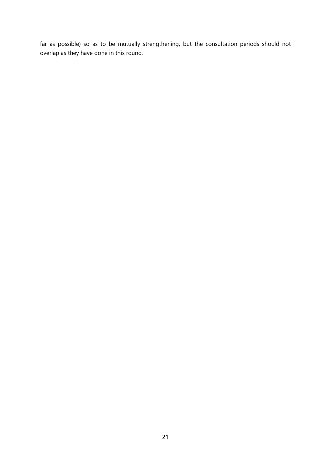far as possible) so as to be mutually strengthening, but the consultation periods should not overlap as they have done in this round.